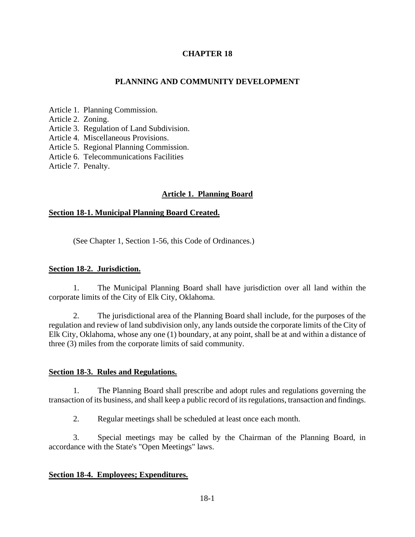### **CHAPTER 18**

### **PLANNING AND COMMUNITY DEVELOPMENT**

Article 1. Planning Commission. Article 2. Zoning. Article 3. Regulation of Land Subdivision. Article 4. Miscellaneous Provisions. Article 5. Regional Planning Commission. Article 6. Telecommunications Facilities

Article 7. Penalty.

#### **Article 1. Planning Board**

#### **Section 18-1. Municipal Planning Board Created.**

(See Chapter 1, Section 1-56, this Code of Ordinances.)

#### **Section 18-2. Jurisdiction.**

1. The Municipal Planning Board shall have jurisdiction over all land within the corporate limits of the City of Elk City, Oklahoma.

2. The jurisdictional area of the Planning Board shall include, for the purposes of the regulation and review of land subdivision only, any lands outside the corporate limits of the City of Elk City, Oklahoma, whose any one (1) boundary, at any point, shall be at and within a distance of three (3) miles from the corporate limits of said community.

#### **Section 18-3. Rules and Regulations.**

1. The Planning Board shall prescribe and adopt rules and regulations governing the transaction of its business, and shall keep a public record of its regulations, transaction and findings.

2. Regular meetings shall be scheduled at least once each month.

3. Special meetings may be called by the Chairman of the Planning Board, in accordance with the State's "Open Meetings" laws.

#### **Section 18-4. Employees; Expenditures.**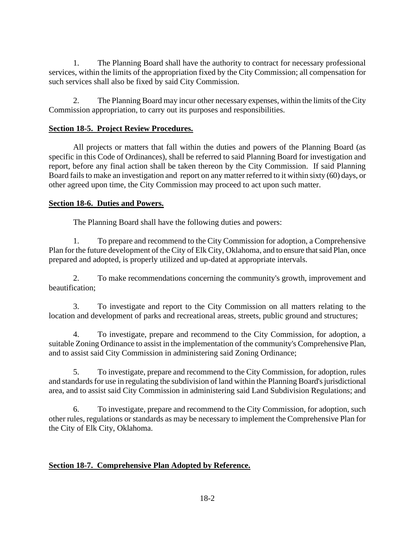1. The Planning Board shall have the authority to contract for necessary professional services, within the limits of the appropriation fixed by the City Commission; all compensation for such services shall also be fixed by said City Commission.

2. The Planning Board may incur other necessary expenses, within the limits of the City Commission appropriation, to carry out its purposes and responsibilities.

# **Section 18-5. Project Review Procedures.**

All projects or matters that fall within the duties and powers of the Planning Board (as specific in this Code of Ordinances), shall be referred to said Planning Board for investigation and report, before any final action shall be taken thereon by the City Commission. If said Planning Board fails to make an investigation and report on any matter referred to it within sixty (60) days, or other agreed upon time, the City Commission may proceed to act upon such matter.

## **Section 18-6. Duties and Powers.**

The Planning Board shall have the following duties and powers:

1. To prepare and recommend to the City Commission for adoption, a Comprehensive Plan for the future development of the City of Elk City, Oklahoma, and to ensure that said Plan, once prepared and adopted, is properly utilized and up-dated at appropriate intervals.

2. To make recommendations concerning the community's growth, improvement and beautification;

3. To investigate and report to the City Commission on all matters relating to the location and development of parks and recreational areas, streets, public ground and structures;

4. To investigate, prepare and recommend to the City Commission, for adoption, a suitable Zoning Ordinance to assist in the implementation of the community's Comprehensive Plan, and to assist said City Commission in administering said Zoning Ordinance;

5. To investigate, prepare and recommend to the City Commission, for adoption, rules and standards for use in regulating the subdivision of land within the Planning Board's jurisdictional area, and to assist said City Commission in administering said Land Subdivision Regulations; and

6. To investigate, prepare and recommend to the City Commission, for adoption, such other rules, regulations or standards as may be necessary to implement the Comprehensive Plan for the City of Elk City, Oklahoma.

## **Section 18-7. Comprehensive Plan Adopted by Reference.**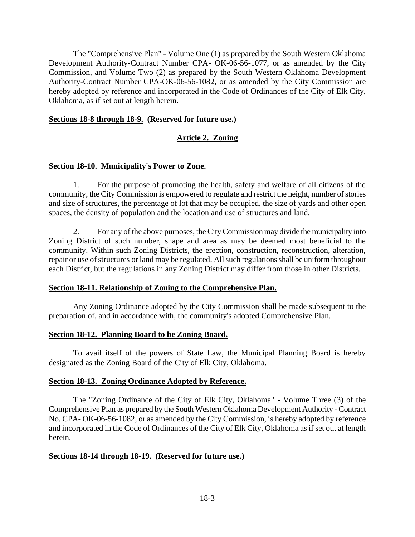The "Comprehensive Plan" - Volume One (1) as prepared by the South Western Oklahoma Development Authority-Contract Number CPA- OK-06-56-1077, or as amended by the City Commission, and Volume Two (2) as prepared by the South Western Oklahoma Development Authority-Contract Number CPA-OK-06-56-1082, or as amended by the City Commission are hereby adopted by reference and incorporated in the Code of Ordinances of the City of Elk City, Oklahoma, as if set out at length herein.

### **Sections 18-8 through 18-9. (Reserved for future use.)**

# **Article 2. Zoning**

### **Section 18-10. Municipality's Power to Zone.**

1. For the purpose of promoting the health, safety and welfare of all citizens of the community, the City Commission is empowered to regulate and restrict the height, number of stories and size of structures, the percentage of lot that may be occupied, the size of yards and other open spaces, the density of population and the location and use of structures and land.

2. For any of the above purposes, the City Commission may divide the municipality into Zoning District of such number, shape and area as may be deemed most beneficial to the community. Within such Zoning Districts, the erection, construction, reconstruction, alteration, repair or use of structures or land may be regulated. All such regulations shall be uniform throughout each District, but the regulations in any Zoning District may differ from those in other Districts.

#### **Section 18-11. Relationship of Zoning to the Comprehensive Plan.**

Any Zoning Ordinance adopted by the City Commission shall be made subsequent to the preparation of, and in accordance with, the community's adopted Comprehensive Plan.

#### **Section 18-12. Planning Board to be Zoning Board.**

To avail itself of the powers of State Law, the Municipal Planning Board is hereby designated as the Zoning Board of the City of Elk City, Oklahoma.

#### **Section 18-13. Zoning Ordinance Adopted by Reference.**

The "Zoning Ordinance of the City of Elk City, Oklahoma" - Volume Three (3) of the Comprehensive Plan as prepared by the South Western Oklahoma Development Authority - Contract No. CPA- OK-06-56-1082, or as amended by the City Commission, is hereby adopted by reference and incorporated in the Code of Ordinances of the City of Elk City, Oklahoma as if set out at length herein.

#### **Sections 18-14 through 18-19. (Reserved for future use.)**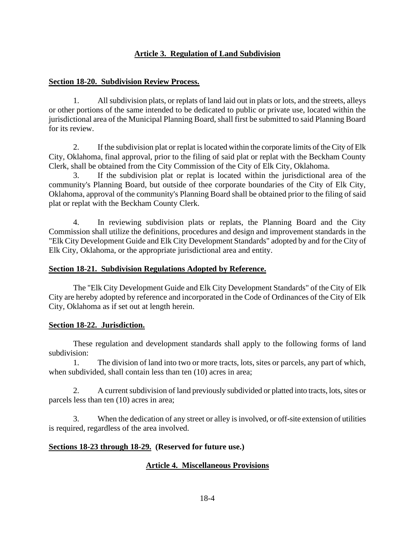# **Article 3. Regulation of Land Subdivision**

### **Section 18-20. Subdivision Review Process.**

1. All subdivision plats, or replats of land laid out in plats or lots, and the streets, alleys or other portions of the same intended to be dedicated to public or private use, located within the jurisdictional area of the Municipal Planning Board, shall first be submitted to said Planning Board for its review.

2. If the subdivision plat or replat is located within the corporate limits of the City of Elk City, Oklahoma, final approval, prior to the filing of said plat or replat with the Beckham County Clerk, shall be obtained from the City Commission of the City of Elk City, Oklahoma.

3. If the subdivision plat or replat is located within the jurisdictional area of the community's Planning Board, but outside of thee corporate boundaries of the City of Elk City, Oklahoma, approval of the community's Planning Board shall be obtained prior to the filing of said plat or replat with the Beckham County Clerk.

4. In reviewing subdivision plats or replats, the Planning Board and the City Commission shall utilize the definitions, procedures and design and improvement standards in the "Elk City Development Guide and Elk City Development Standards" adopted by and for the City of Elk City, Oklahoma, or the appropriate jurisdictional area and entity.

#### **Section 18-21. Subdivision Regulations Adopted by Reference.**

The "Elk City Development Guide and Elk City Development Standards" of the City of Elk City are hereby adopted by reference and incorporated in the Code of Ordinances of the City of Elk City, Oklahoma as if set out at length herein.

#### **Section 18-22. Jurisdiction.**

These regulation and development standards shall apply to the following forms of land subdivision:

1. The division of land into two or more tracts, lots, sites or parcels, any part of which, when subdivided, shall contain less than ten  $(10)$  acres in area;

2. A current subdivision of land previously subdivided or platted into tracts, lots, sites or parcels less than ten (10) acres in area;

3. When the dedication of any street or alley is involved, or off-site extension of utilities is required, regardless of the area involved.

## **Sections 18-23 through 18-29. (Reserved for future use.)**

## **Article 4. Miscellaneous Provisions**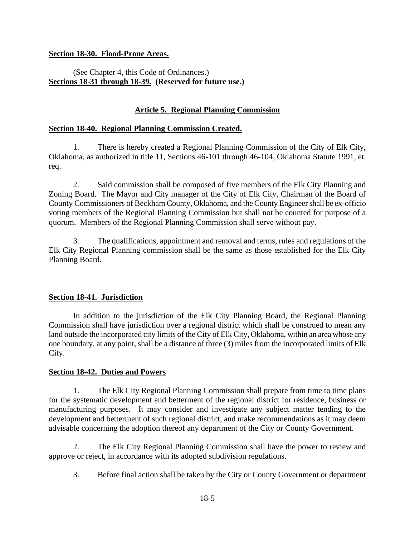### **Section 18-30. Flood-Prone Areas.**

## (See Chapter 4, this Code of Ordinances.) **Sections 18-31 through 18-39. (Reserved for future use.)**

## **Article 5. Regional Planning Commission**

### **Section 18-40. Regional Planning Commission Created.**

1. There is hereby created a Regional Planning Commission of the City of Elk City, Oklahoma, as authorized in title 11, Sections 46-101 through 46-104, Oklahoma Statute 1991, et. req.

2. Said commission shall be composed of five members of the Elk City Planning and Zoning Board. The Mayor and City manager of the City of Elk City, Chairman of the Board of County Commissioners of Beckham County, Oklahoma, and the County Engineer shall be ex-officio voting members of the Regional Planning Commission but shall not be counted for purpose of a quorum. Members of the Regional Planning Commission shall serve without pay.

3. The qualifications, appointment and removal and terms, rules and regulations of the Elk City Regional Planning commission shall be the same as those established for the Elk City Planning Board.

#### **Section 18-41. Jurisdiction**

In addition to the jurisdiction of the Elk City Planning Board, the Regional Planning Commission shall have jurisdiction over a regional district which shall be construed to mean any land outside the incorporated city limits of the City of Elk City, Oklahoma, within an area whose any one boundary, at any point, shall be a distance of three (3) miles from the incorporated limits of Elk City.

#### **Section 18-42. Duties and Powers**

1. The Elk City Regional Planning Commission shall prepare from time to time plans for the systematic development and betterment of the regional district for residence, business or manufacturing purposes. It may consider and investigate any subject matter tending to the development and betterment of such regional district, and make recommendations as it may deem advisable concerning the adoption thereof any department of the City or County Government.

2. The Elk City Regional Planning Commission shall have the power to review and approve or reject, in accordance with its adopted subdivision regulations.

3. Before final action shall be taken by the City or County Government or department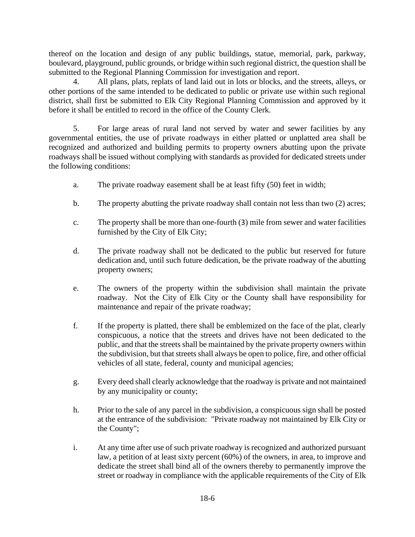thereof on the location and design of any public buildings, statue, memorial, park, parkway, boulevard, playground, public grounds, or bridge within such regional district, the question shall be submitted to the Regional Planning Commission for investigation and report.

4. All plans, plats, replats of land laid out in lots or blocks, and the streets, alleys, or other portions of the same intended to be dedicated to public or private use within such regional district, shall first be submitted to Elk City Regional Planning Commission and approved by it before it shall be entitled to record in the office of the County Clerk.

5. For large areas of rural land not served by water and sewer facilities by any governmental entities, the use of private roadways in either platted or unplatted area shall be recognized and authorized and building permits to property owners abutting upon the private roadways shall be issued without complying with standards as provided for dedicated streets under the following conditions:

- a. The private roadway easement shall be at least fifty (50) feet in width;
- b. The property abutting the private roadway shall contain not less than two (2) acres;
- c. The property shall be more than one-fourth (3) mile from sewer and water facilities furnished by the City of Elk City;
- d. The private roadway shall not be dedicated to the public but reserved for future dedication and, until such future dedication, be the private roadway of the abutting property owners;
- e. The owners of the property within the subdivision shall maintain the private roadway. Not the City of Elk City or the County shall have responsibility for maintenance and repair of the private roadway;
- f. If the property is platted, there shall be emblemized on the face of the plat, clearly conspicuous, a notice that the streets and drives have not been dedicated to the public, and that the streets shall be maintained by the private property owners within the subdivision, but that streets shall always be open to police, fire, and other official vehicles of all state, federal, county and municipal agencies;
- g. Every deed shall clearly acknowledge that the roadway is private and not maintained by any municipality or county;
- h. Prior to the sale of any parcel in the subdivision, a conspicuous sign shall be posted at the entrance of the subdivision: "Private roadway not maintained by Elk City or the County";
- i. At any time after use of such private roadway is recognized and authorized pursuant law, a petition of at least sixty percent (60%) of the owners, in area, to improve and dedicate the street shall bind all of the owners thereby to permanently improve the street or roadway in compliance with the applicable requirements of the City of Elk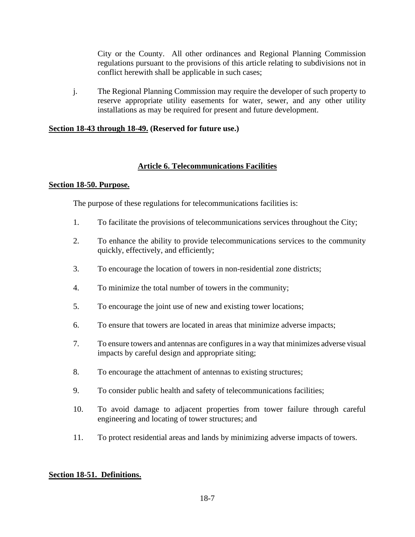City or the County. All other ordinances and Regional Planning Commission regulations pursuant to the provisions of this article relating to subdivisions not in conflict herewith shall be applicable in such cases;

j. The Regional Planning Commission may require the developer of such property to reserve appropriate utility easements for water, sewer, and any other utility installations as may be required for present and future development.

### **Section 18-43 through 18-49. (Reserved for future use.)**

## **Article 6. Telecommunications Facilities**

#### **Section 18-50. Purpose.**

The purpose of these regulations for telecommunications facilities is:

- 1. To facilitate the provisions of telecommunications services throughout the City;
- 2. To enhance the ability to provide telecommunications services to the community quickly, effectively, and efficiently;
- 3. To encourage the location of towers in non-residential zone districts;
- 4. To minimize the total number of towers in the community;
- 5. To encourage the joint use of new and existing tower locations;
- 6. To ensure that towers are located in areas that minimize adverse impacts;
- 7. To ensure towers and antennas are configures in a way that minimizes adverse visual impacts by careful design and appropriate siting;
- 8. To encourage the attachment of antennas to existing structures;
- 9. To consider public health and safety of telecommunications facilities;
- 10. To avoid damage to adjacent properties from tower failure through careful engineering and locating of tower structures; and
- 11. To protect residential areas and lands by minimizing adverse impacts of towers.

#### **Section 18-51. Definitions.**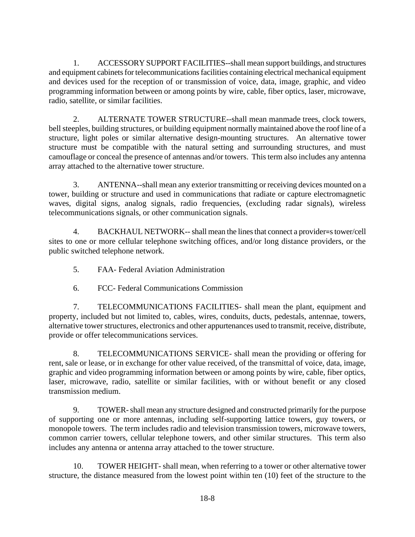1. ACCESSORY SUPPORT FACILITIES--shall mean support buildings, and structures and equipment cabinets for telecommunications facilities containing electrical mechanical equipment and devices used for the reception of or transmission of voice, data, image, graphic, and video programming information between or among points by wire, cable, fiber optics, laser, microwave, radio, satellite, or similar facilities.

2. ALTERNATE TOWER STRUCTURE--shall mean manmade trees, clock towers, bell steeples, building structures, or building equipment normally maintained above the roof line of a structure, light poles or similar alternative design-mounting structures. An alternative tower structure must be compatible with the natural setting and surrounding structures, and must camouflage or conceal the presence of antennas and/or towers. This term also includes any antenna array attached to the alternative tower structure.

3. ANTENNA--shall mean any exterior transmitting or receiving devices mounted on a tower, building or structure and used in communications that radiate or capture electromagnetic waves, digital signs, analog signals, radio frequencies, (excluding radar signals), wireless telecommunications signals, or other communication signals.

4. BACKHAUL NETWORK--shall mean the lines that connect a provider=s tower/cell sites to one or more cellular telephone switching offices, and/or long distance providers, or the public switched telephone network.

- 5. FAA- Federal Aviation Administration
- 6. FCC- Federal Communications Commission

7. TELECOMMUNICATIONS FACILITIES- shall mean the plant, equipment and property, included but not limited to, cables, wires, conduits, ducts, pedestals, antennae, towers, alternative tower structures, electronics and other appurtenances used to transmit, receive, distribute, provide or offer telecommunications services.

8. TELECOMMUNICATIONS SERVICE- shall mean the providing or offering for rent, sale or lease, or in exchange for other value received, of the transmittal of voice, data, image, graphic and video programming information between or among points by wire, cable, fiber optics, laser, microwave, radio, satellite or similar facilities, with or without benefit or any closed transmission medium.

9. TOWER-shall mean any structure designed and constructed primarily for the purpose of supporting one or more antennas, including self-supporting lattice towers, guy towers, or monopole towers. The term includes radio and television transmission towers, microwave towers, common carrier towers, cellular telephone towers, and other similar structures. This term also includes any antenna or antenna array attached to the tower structure.

10. TOWER HEIGHT- shall mean, when referring to a tower or other alternative tower structure, the distance measured from the lowest point within ten (10) feet of the structure to the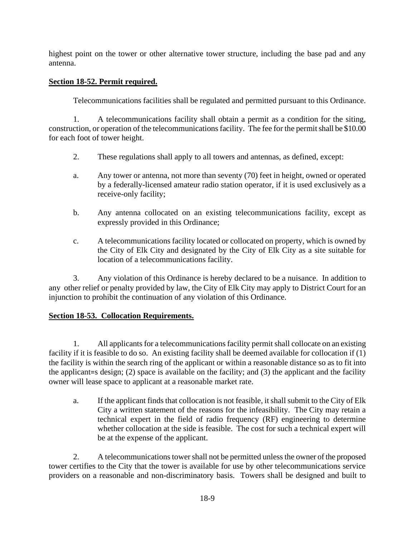highest point on the tower or other alternative tower structure, including the base pad and any antenna.

# **Section 18-52. Permit required.**

Telecommunications facilities shall be regulated and permitted pursuant to this Ordinance.

1. A telecommunications facility shall obtain a permit as a condition for the siting, construction, or operation of the telecommunications facility. The fee for the permit shall be \$10.00 for each foot of tower height.

- 2. These regulations shall apply to all towers and antennas, as defined, except:
- a. Any tower or antenna, not more than seventy (70) feet in height, owned or operated by a federally-licensed amateur radio station operator, if it is used exclusively as a receive-only facility;
- b. Any antenna collocated on an existing telecommunications facility, except as expressly provided in this Ordinance;
- c. A telecommunications facility located or collocated on property, which is owned by the City of Elk City and designated by the City of Elk City as a site suitable for location of a telecommunications facility.

3. Any violation of this Ordinance is hereby declared to be a nuisance. In addition to any other relief or penalty provided by law, the City of Elk City may apply to District Court for an injunction to prohibit the continuation of any violation of this Ordinance.

# **Section 18-53. Collocation Requirements.**

1. All applicants for a telecommunications facility permit shall collocate on an existing facility if it is feasible to do so. An existing facility shall be deemed available for collocation if (1) the facility is within the search ring of the applicant or within a reasonable distance so as to fit into the applicant=s design; (2) space is available on the facility; and (3) the applicant and the facility owner will lease space to applicant at a reasonable market rate.

a. If the applicant finds that collocation is not feasible, it shall submit to the City of Elk City a written statement of the reasons for the infeasibility. The City may retain a technical expert in the field of radio frequency (RF) engineering to determine whether collocation at the side is feasible. The cost for such a technical expert will be at the expense of the applicant.

2. A telecommunications tower shall not be permitted unless the owner of the proposed tower certifies to the City that the tower is available for use by other telecommunications service providers on a reasonable and non-discriminatory basis. Towers shall be designed and built to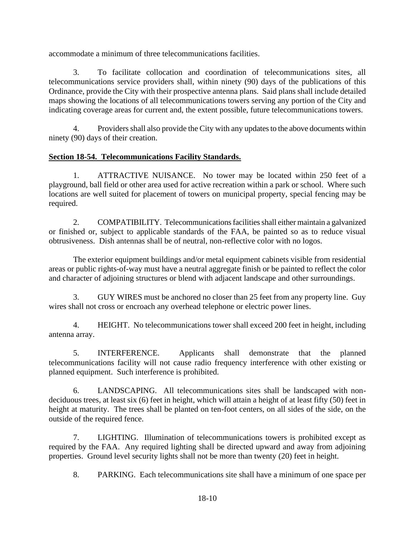accommodate a minimum of three telecommunications facilities.

3. To facilitate collocation and coordination of telecommunications sites, all telecommunications service providers shall, within ninety (90) days of the publications of this Ordinance, provide the City with their prospective antenna plans. Said plans shall include detailed maps showing the locations of all telecommunications towers serving any portion of the City and indicating coverage areas for current and, the extent possible, future telecommunications towers.

4. Providers shall also provide the City with any updates to the above documents within ninety (90) days of their creation.

# **Section 18-54. Telecommunications Facility Standards.**

1. ATTRACTIVE NUISANCE. No tower may be located within 250 feet of a playground, ball field or other area used for active recreation within a park or school. Where such locations are well suited for placement of towers on municipal property, special fencing may be required.

2. COMPATIBILITY. Telecommunications facilities shall either maintain a galvanized or finished or, subject to applicable standards of the FAA, be painted so as to reduce visual obtrusiveness. Dish antennas shall be of neutral, non-reflective color with no logos.

The exterior equipment buildings and/or metal equipment cabinets visible from residential areas or public rights-of-way must have a neutral aggregate finish or be painted to reflect the color and character of adjoining structures or blend with adjacent landscape and other surroundings.

3. GUY WIRES must be anchored no closer than 25 feet from any property line. Guy wires shall not cross or encroach any overhead telephone or electric power lines.

4. HEIGHT. No telecommunications tower shall exceed 200 feet in height, including antenna array.

5. INTERFERENCE. Applicants shall demonstrate that the planned telecommunications facility will not cause radio frequency interference with other existing or planned equipment. Such interference is prohibited.

6. LANDSCAPING. All telecommunications sites shall be landscaped with nondeciduous trees, at least six (6) feet in height, which will attain a height of at least fifty (50) feet in height at maturity. The trees shall be planted on ten-foot centers, on all sides of the side, on the outside of the required fence.

7. LIGHTING. Illumination of telecommunications towers is prohibited except as required by the FAA. Any required lighting shall be directed upward and away from adjoining properties. Ground level security lights shall not be more than twenty (20) feet in height.

8. PARKING. Each telecommunications site shall have a minimum of one space per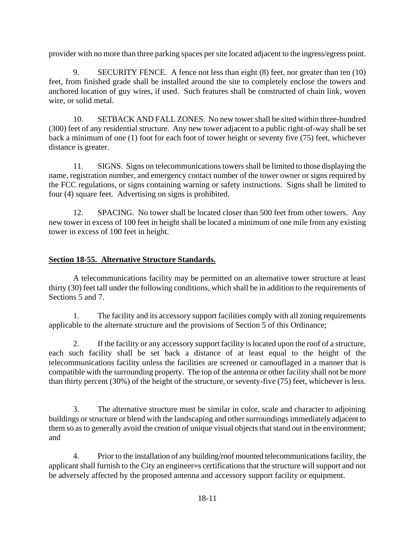provider with no more than three parking spaces per site located adjacent to the ingress/egress point.

9. SECURITY FENCE. A fence not less than eight (8) feet, nor greater than ten (10) feet, from finished grade shall be installed around the site to completely enclose the towers and anchored location of guy wires, if used. Such features shall be constructed of chain link, woven wire, or solid metal.

10. SETBACK AND FALL ZONES. No new tower shall be sited within three-hundred (300) feet of any residential structure. Any new tower adjacent to a public right-of-way shall be set back a minimum of one (1) foot for each foot of tower height or seventy five (75) feet, whichever distance is greater.

11. SIGNS. Signs on telecommunications towers shall be limited to those displaying the name, registration number, and emergency contact number of the tower owner or signs required by the FCC regulations, or signs containing warning or safety instructions. Signs shall be limited to four (4) square feet. Advertising on signs is prohibited.

12. SPACING. No tower shall be located closer than 500 feet from other towers. Any new tower in excess of 100 feet in height shall be located a minimum of one mile from any existing tower in excess of 100 feet in height.

### **Section 18-55. Alternative Structure Standards.**

A telecommunications facility may be permitted on an alternative tower structure at least thirty (30) feet tall under the following conditions, which shall be in addition to the requirements of Sections 5 and 7.

1. The facility and its accessory support facilities comply with all zoning requirements applicable to the alternate structure and the provisions of Section 5 of this Ordinance;

2. If the facility or any accessory support facility is located upon the roof of a structure, each such facility shall be set back a distance of at least equal to the height of the telecommunications facility unless the facilities are screened or camouflaged in a manner that is compatible with the surrounding property. The top of the antenna or other facility shall not be more than thirty percent (30%) of the height of the structure, or seventy-five (75) feet, whichever is less.

3. The alternative structure must be similar in color, scale and character to adjoining buildings or structure or blend with the landscaping and other surroundings immediately adjacent to them so as to generally avoid the creation of unique visual objects that stand out in the environment; and

4. Prior to the installation of any building/roof mounted telecommunications facility, the applicant shall furnish to the City an engineer=s certifications that the structure will support and not be adversely affected by the proposed antenna and accessory support facility or equipment.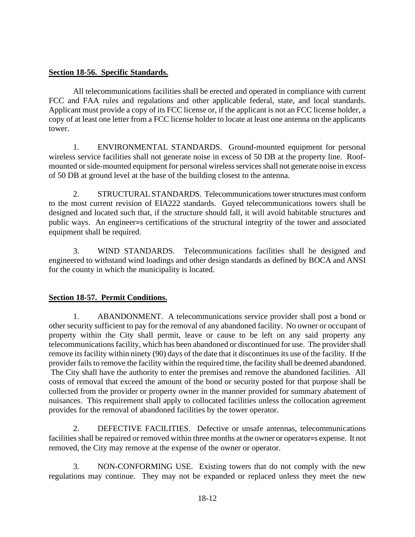### **Section 18-56. Specific Standards.**

All telecommunications facilities shall be erected and operated in compliance with current FCC and FAA rules and regulations and other applicable federal, state, and local standards. Applicant must provide a copy of its FCC license or, if the applicant is not an FCC license holder, a copy of at least one letter from a FCC license holder to locate at least one antenna on the applicants tower.

1. ENVIRONMENTAL STANDARDS. Ground-mounted equipment for personal wireless service facilities shall not generate noise in excess of 50 DB at the property line. Roofmounted or side-mounted equipment for personal wireless services shall not generate noise in excess of 50 DB at ground level at the base of the building closest to the antenna.

2. STRUCTURAL STANDARDS. Telecommunications tower structures must conform to the most current revision of EIA222 standards. Guyed telecommunications towers shall be designed and located such that, if the structure should fall, it will avoid habitable structures and public ways. An engineer=s certifications of the structural integrity of the tower and associated equipment shall be required.

3. WIND STANDARDS. Telecommunications facilities shall be designed and engineered to withstand wind loadings and other design standards as defined by BOCA and ANSI for the county in which the municipality is located.

## **Section 18-57. Permit Conditions.**

1. ABANDONMENT. A telecommunications service provider shall post a bond or other security sufficient to pay for the removal of any abandoned facility. No owner or occupant of property within the City shall permit, leave or cause to be left on any said property any telecommunications facility, which has been abandoned or discontinued for use. The provider shall remove its facility within ninety (90) days of the date that it discontinues its use of the facility. If the provider fails to remove the facility within the required time, the facility shall be deemed abandoned. The City shall have the authority to enter the premises and remove the abandoned facilities. All costs of removal that exceed the amount of the bond or security posted for that purpose shall be collected from the provider or property owner in the manner provided for summary abatement of nuisances. This requirement shall apply to collocated facilities unless the collocation agreement provides for the removal of abandoned facilities by the tower operator.

2. DEFECTIVE FACILITIES. Defective or unsafe antennas, telecommunications facilities shall be repaired or removed within three months at the owner or operator=s expense. It not removed, the City may remove at the expense of the owner or operator.

3. NON-CONFORMING USE. Existing towers that do not comply with the new regulations may continue. They may not be expanded or replaced unless they meet the new